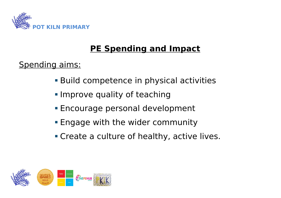

## **PE Spending and Impact**

## Spending aims:

- Build competence in physical activities
- **Improve quality of teaching**
- Encourage personal development
- **Engage with the wider community**
- **Create a culture of healthy, active lives.**

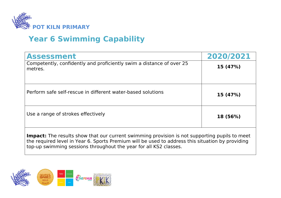

## **Year 6 Swimming Capability**

| <b>Assessment</b>                                                                                                                                                                                                                                                             | 2020/2021 |  |  |
|-------------------------------------------------------------------------------------------------------------------------------------------------------------------------------------------------------------------------------------------------------------------------------|-----------|--|--|
| Competently, confidently and proficiently swim a distance of over 25<br>metres.                                                                                                                                                                                               | 15(47%)   |  |  |
| Perform safe self-rescue in different water-based solutions                                                                                                                                                                                                                   | 15 (47%)  |  |  |
| Use a range of strokes effectively                                                                                                                                                                                                                                            | 18 (56%)  |  |  |
| <b>Impact:</b> The results show that our current swimming provision is not supporting pupils to meet<br>the required level in Year 6. Sports Premium will be used to address this situation by providing<br>top-up swimming sessions throughout the year for all KS2 classes. |           |  |  |

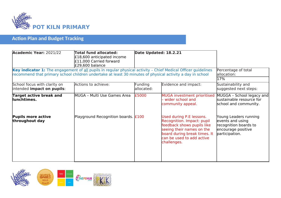

## **Action Plan and Budget Tracking**

| <b>Academic Year: 2021/22</b>                                                                                                                                                                                              | <b>Total fund allocated:</b><br>£18,600 anticipated income<br>£11,000 Carried forward<br>£29,600 balance | Date Updated: 18.2.21 |                                                                                                                                                                                               |                                                                                                            |
|----------------------------------------------------------------------------------------------------------------------------------------------------------------------------------------------------------------------------|----------------------------------------------------------------------------------------------------------|-----------------------|-----------------------------------------------------------------------------------------------------------------------------------------------------------------------------------------------|------------------------------------------------------------------------------------------------------------|
| Key indicator 1: The engagement of all pupils in regular physical activity - Chief Medical Officer guidelines<br>recommend that primary school children undertake at least 30 minutes of physical activity a day in school |                                                                                                          |                       |                                                                                                                                                                                               | Percentage of total<br>allocation:<br>17%                                                                  |
| School focus with clarity on<br>intended impact on pupils:                                                                                                                                                                 | Actions to achieve:                                                                                      | Funding<br>allocated: | Evidence and impact:                                                                                                                                                                          | Sustainability and<br>suggested next steps:                                                                |
| Target active break and<br>llunchtimes.                                                                                                                                                                                    | MUGA - Multi Use Games Area                                                                              | £5000                 | <b>MUGA investment prioritised</b><br>wider school and<br>community appeal.                                                                                                                   | MUGGA - School legacy and<br>sustainable resource for<br>school and community.                             |
| <b>Pupils more active</b><br>throughout day                                                                                                                                                                                | Playground Recognition boards. $E100$                                                                    |                       | Used during P.E lessons.<br>Recognition. Impact: pupil<br>feedback shows pupils like<br>seeing their names on the<br>board during break times. It<br>can be used to add active<br>challenges. | Young Leaders running<br>events and using<br>recognition boards to<br>encourage positive<br>participation. |

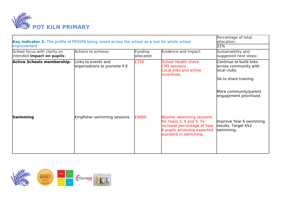

| Key indicator 2: The profile of PESSPA being raised across the school as a tool for whole school |                                                     |                       |                                                                                                                                                     | Percentage of total<br>lallocation:                                                                                                            |  |
|--------------------------------------------------------------------------------------------------|-----------------------------------------------------|-----------------------|-----------------------------------------------------------------------------------------------------------------------------------------------------|------------------------------------------------------------------------------------------------------------------------------------------------|--|
| improvement<br>School focus with clarity on<br>intended impact on pupils:                        | Actions to achieve:                                 | Funding<br>allocated: | Evidence and impact:                                                                                                                                | 21%<br>Sustainability and<br>suggested next steps:                                                                                             |  |
| <b>Active Schools membership.</b>                                                                | Links to events and<br>organisations to promote P.E | £250                  | School Health check.<br><b>CPD sessions.</b><br>Local links and active<br>lincentives.                                                              | Continue to build links<br>across community with<br>llocal clubs.<br>SA to share training.<br>More community/parent<br>engagement prioritised. |  |
| Swimming                                                                                         | Kingfisher swimming sessions                        | £6000                 | <b>Booster swimming sessions</b><br>for Years 3, 4 and 5. To<br>increase percentage of Year<br>6 pupils achieving expected<br>standard in swimming. | Improve Year 6 swimming<br>results. Target KS2<br>swimming.                                                                                    |  |

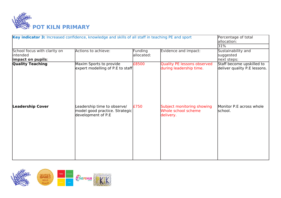

| Key indicator 3: Increased confidence, knowledge and skills of all staff in teaching PE and sport |                                                                                     |                       |                                                                | Percentage of total<br>allocation:                        |  |
|---------------------------------------------------------------------------------------------------|-------------------------------------------------------------------------------------|-----------------------|----------------------------------------------------------------|-----------------------------------------------------------|--|
|                                                                                                   |                                                                                     |                       |                                                                | 31%                                                       |  |
| School focus with clarity on<br>lintended<br>impact on pupils:                                    | Actions to achieve:                                                                 | Funding<br>allocated: | Evidence and impact:                                           | Sustainability and<br>suggested<br>next steps:            |  |
| <b>Quality Teaching</b>                                                                           | Maxim Sports to provide<br>expert modelling of P.E to staff                         | £8500                 | Quality PE lessons observed<br>during leadership time.         | Staff become upskilled to<br>deliver quality P.E lessons. |  |
| <b>Leadership Cover</b>                                                                           | Leadership time to observe/<br>model good practice. Strategic<br>development of P.E | £750                  | Subject monitoring showing<br>Whole school scheme<br>delivery. | Monitor P.E across whole<br>school.                       |  |

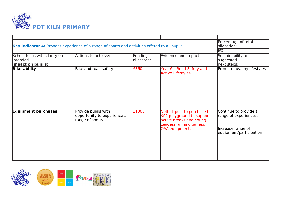

| Key indicator 4: Broader experience of a range of sports and activities offered to all pupils | Percentage of total<br>allocation:                                     |                       |                                                                                                                                  |                                                                                                |
|-----------------------------------------------------------------------------------------------|------------------------------------------------------------------------|-----------------------|----------------------------------------------------------------------------------------------------------------------------------|------------------------------------------------------------------------------------------------|
|                                                                                               | 16%                                                                    |                       |                                                                                                                                  |                                                                                                |
| School focus with clarity on<br>lintended<br>impact on pupils:                                | Actions to achieve:                                                    | Funding<br>allocated: | Evidence and impact:                                                                                                             | Sustainability and<br>suggested<br>next steps:                                                 |
| <b>Bike-ability</b>                                                                           | Bike and road safety.                                                  | £360                  | Year 6 - Road Safety and<br><b>Active Lifestyles.</b>                                                                            | Promote healthy lifestyles                                                                     |
| <b>Equipment purchases</b>                                                                    | Provide pupils with<br>opportunity to experience a<br>range of sports. | £1000                 | Netball post to purchase for<br>KS2 playground to support<br>active breaks and Young<br>Leaders running games.<br>OAA equipment. | Continue to provide a<br>range of experiences.<br>Increase range of<br>equipment/participation |